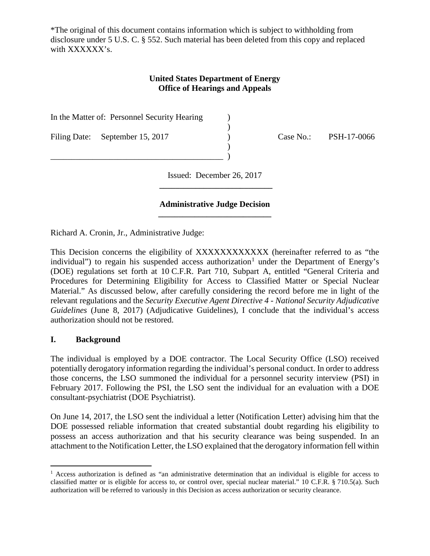\*The original of this document contains information which is subject to withholding from disclosure under 5 U.S. C. § 552. Such material has been deleted from this copy and replaced with XXXXXX<sup>'s</sup>.

# **United States Department of Energy Office of Hearings and Appeals**

)

)

In the Matter of: Personnel Security Hearing (1)

\_\_\_\_\_\_\_\_\_\_\_\_\_\_\_\_\_\_\_\_\_\_\_\_\_\_\_\_\_\_\_\_\_\_\_\_\_\_\_\_\_ )

Filing Date: September 15, 2017 (Case No.: PSH-17-0066

Issued: December 26, 2017 **\_\_\_\_\_\_\_\_\_\_\_\_\_\_\_\_\_\_\_\_\_\_\_\_\_\_\_\_**

### **Administrative Judge Decision \_\_\_\_\_\_\_\_\_\_\_\_\_\_\_\_\_\_\_\_\_\_\_\_\_\_\_\_**

Richard A. Cronin, Jr., Administrative Judge:

This Decision concerns the eligibility of XXXXXXXXXXXX (hereinafter referred to as "the individual") to regain his suspended access authorization<sup>[1](#page-0-0)</sup> under the Department of Energy's (DOE) regulations set forth at 10 C.F.R. Part 710, Subpart A, entitled "General Criteria and Procedures for Determining Eligibility for Access to Classified Matter or Special Nuclear Material." As discussed below, after carefully considering the record before me in light of the relevant regulations and the *Security Executive Agent Directive 4 - National Security Adjudicative Guidelines* (June 8, 2017) (Adjudicative Guidelines), I conclude that the individual's access authorization should not be restored.

#### **I. Background**

The individual is employed by a DOE contractor. The Local Security Office (LSO) received potentially derogatory information regarding the individual's personal conduct. In order to address those concerns, the LSO summoned the individual for a personnel security interview (PSI) in February 2017. Following the PSI, the LSO sent the individual for an evaluation with a DOE consultant-psychiatrist (DOE Psychiatrist).

On June 14, 2017, the LSO sent the individual a letter (Notification Letter) advising him that the DOE possessed reliable information that created substantial doubt regarding his eligibility to possess an access authorization and that his security clearance was being suspended. In an attachment to the Notification Letter, the LSO explained that the derogatory information fell within

<span id="page-0-0"></span> <sup>1</sup> Access authorization is defined as "an administrative determination that an individual is eligible for access to classified matter or is eligible for access to, or control over, special nuclear material." 10 C.F.R. § 710.5(a). Such authorization will be referred to variously in this Decision as access authorization or security clearance.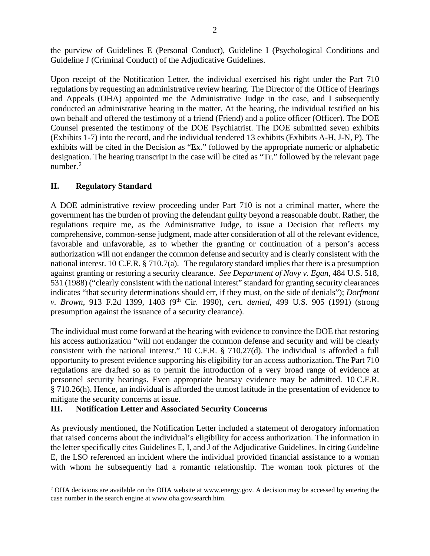the purview of Guidelines E (Personal Conduct), Guideline I (Psychological Conditions and Guideline J (Criminal Conduct) of the Adjudicative Guidelines.

Upon receipt of the Notification Letter, the individual exercised his right under the Part 710 regulations by requesting an administrative review hearing. The Director of the Office of Hearings and Appeals (OHA) appointed me the Administrative Judge in the case, and I subsequently conducted an administrative hearing in the matter. At the hearing, the individual testified on his own behalf and offered the testimony of a friend (Friend) and a police officer (Officer). The DOE Counsel presented the testimony of the DOE Psychiatrist. The DOE submitted seven exhibits (Exhibits 1-7) into the record, and the individual tendered 13 exhibits (Exhibits A-H, J-N, P). The exhibits will be cited in the Decision as "Ex." followed by the appropriate numeric or alphabetic designation. The hearing transcript in the case will be cited as "Tr." followed by the relevant page number. $2$ 

### **II. Regulatory Standard**

A DOE administrative review proceeding under Part 710 is not a criminal matter, where the government has the burden of proving the defendant guilty beyond a reasonable doubt. Rather, the regulations require me, as the Administrative Judge, to issue a Decision that reflects my comprehensive, common-sense judgment, made after consideration of all of the relevant evidence, favorable and unfavorable, as to whether the granting or continuation of a person's access authorization will not endanger the common defense and security and is clearly consistent with the national interest. 10 C.F.R. § 710.7(a). The regulatory standard implies that there is a presumption against granting or restoring a security clearance. *See Department of Navy v. Egan*, 484 U.S. 518, 531 (1988) ("clearly consistent with the national interest" standard for granting security clearances indicates "that security determinations should err, if they must, on the side of denials"); *Dorfmont v. Brown*, 913 F.2d 1399, 1403 (9<sup>th</sup> Cir. 1990), *cert. denied*, 499 U.S. 905 (1991) (strong presumption against the issuance of a security clearance).

The individual must come forward at the hearing with evidence to convince the DOE that restoring his access authorization "will not endanger the common defense and security and will be clearly consistent with the national interest." 10 C.F.R. § 710.27(d). The individual is afforded a full opportunity to present evidence supporting his eligibility for an access authorization. The Part 710 regulations are drafted so as to permit the introduction of a very broad range of evidence at personnel security hearings. Even appropriate hearsay evidence may be admitted. 10 C.F.R. § 710.26(h). Hence, an individual is afforded the utmost latitude in the presentation of evidence to mitigate the security concerns at issue.

# **III. Notification Letter and Associated Security Concerns**

As previously mentioned, the Notification Letter included a statement of derogatory information that raised concerns about the individual's eligibility for access authorization. The information in the letter specifically cites Guidelines E, I, and J of the Adjudicative Guidelines. In citing Guideline E, the LSO referenced an incident where the individual provided financial assistance to a woman with whom he subsequently had a romantic relationship. The woman took pictures of the

<span id="page-1-0"></span><sup>&</sup>lt;sup>2</sup> OHA decisions are available on the OHA website at www.energy.gov. A decision may be accessed by entering the case number in the search engine at www.oha.gov/search.htm.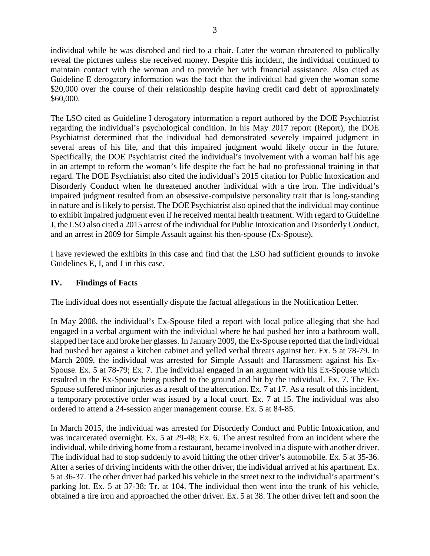individual while he was disrobed and tied to a chair. Later the woman threatened to publically reveal the pictures unless she received money. Despite this incident, the individual continued to maintain contact with the woman and to provide her with financial assistance. Also cited as Guideline E derogatory information was the fact that the individual had given the woman some \$20,000 over the course of their relationship despite having credit card debt of approximately \$60,000.

The LSO cited as Guideline I derogatory information a report authored by the DOE Psychiatrist regarding the individual's psychological condition. In his May 2017 report (Report), the DOE Psychiatrist determined that the individual had demonstrated severely impaired judgment in several areas of his life, and that this impaired judgment would likely occur in the future. Specifically, the DOE Psychiatrist cited the individual's involvement with a woman half his age in an attempt to reform the woman's life despite the fact he had no professional training in that regard. The DOE Psychiatrist also cited the individual's 2015 citation for Public Intoxication and Disorderly Conduct when he threatened another individual with a tire iron. The individual's impaired judgment resulted from an obsessive-compulsive personality trait that is long-standing in nature and is likely to persist. The DOE Psychiatrist also opined that the individual may continue to exhibit impaired judgment even if he received mental health treatment. With regard to Guideline J, the LSO also cited a 2015 arrest of the individual for Public Intoxication and Disorderly Conduct, and an arrest in 2009 for Simple Assault against his then-spouse (Ex-Spouse).

I have reviewed the exhibits in this case and find that the LSO had sufficient grounds to invoke Guidelines E, I, and J in this case.

# **IV. Findings of Facts**

The individual does not essentially dispute the factual allegations in the Notification Letter.

In May 2008, the individual's Ex-Spouse filed a report with local police alleging that she had engaged in a verbal argument with the individual where he had pushed her into a bathroom wall, slapped her face and broke her glasses. In January 2009, the Ex-Spouse reported that the individual had pushed her against a kitchen cabinet and yelled verbal threats against her. Ex. 5 at 78-79. In March 2009, the individual was arrested for Simple Assault and Harassment against his Ex-Spouse. Ex. 5 at 78-79; Ex. 7. The individual engaged in an argument with his Ex-Spouse which resulted in the Ex-Spouse being pushed to the ground and hit by the individual. Ex. 7. The Ex-Spouse suffered minor injuries as a result of the altercation. Ex. 7 at 17. As a result of this incident, a temporary protective order was issued by a local court. Ex. 7 at 15. The individual was also ordered to attend a 24-session anger management course. Ex. 5 at 84-85.

In March 2015, the individual was arrested for Disorderly Conduct and Public Intoxication, and was incarcerated overnight. Ex. 5 at 29-48; Ex. 6. The arrest resulted from an incident where the individual, while driving home from a restaurant, became involved in a dispute with another driver. The individual had to stop suddenly to avoid hitting the other driver's automobile. Ex. 5 at 35-36. After a series of driving incidents with the other driver, the individual arrived at his apartment. Ex. 5 at 36-37. The other driver had parked his vehicle in the street next to the individual's apartment's parking lot. Ex. 5 at 37-38; Tr. at 104. The individual then went into the trunk of his vehicle, obtained a tire iron and approached the other driver. Ex. 5 at 38. The other driver left and soon the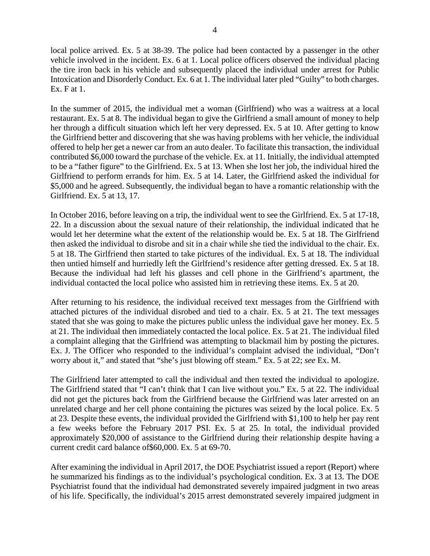local police arrived. Ex. 5 at 38-39. The police had been contacted by a passenger in the other vehicle involved in the incident. Ex. 6 at 1. Local police officers observed the individual placing the tire iron back in his vehicle and subsequently placed the individual under arrest for Public Intoxication and Disorderly Conduct. Ex. 6 at 1. The individual later pled "Guilty" to both charges. Ex. F at 1.

In the summer of 2015, the individual met a woman (Girlfriend) who was a waitress at a local restaurant. Ex. 5 at 8. The individual began to give the Girlfriend a small amount of money to help her through a difficult situation which left her very depressed. Ex. 5 at 10. After getting to know the Girlfriend better and discovering that she was having problems with her vehicle, the individual offered to help her get a newer car from an auto dealer. To facilitate this transaction, the individual contributed \$6,000 toward the purchase of the vehicle. Ex. at 11. Initially, the individual attempted to be a "father figure" to the Girlfriend. Ex. 5 at 13. When she lost her job, the individual hired the Girlfriend to perform errands for him. Ex. 5 at 14. Later, the Girlfriend asked the individual for \$5,000 and he agreed. Subsequently, the individual began to have a romantic relationship with the Girlfriend. Ex. 5 at 13, 17.

In October 2016, before leaving on a trip, the individual went to see the Girlfriend. Ex. 5 at 17-18, 22. In a discussion about the sexual nature of their relationship, the individual indicated that he would let her determine what the extent of the relationship would be. Ex. 5 at 18. The Girlfriend then asked the individual to disrobe and sit in a chair while she tied the individual to the chair. Ex. 5 at 18. The Girlfriend then started to take pictures of the individual. Ex. 5 at 18. The individual then untied himself and hurriedly left the Girlfriend's residence after getting dressed. Ex. 5 at 18. Because the individual had left his glasses and cell phone in the Girlfriend's apartment, the individual contacted the local police who assisted him in retrieving these items. Ex. 5 at 20.

After returning to his residence, the individual received text messages from the Girlfriend with attached pictures of the individual disrobed and tied to a chair. Ex. 5 at 21. The text messages stated that she was going to make the pictures public unless the individual gave her money. Ex. 5 at 21. The individual then immediately contacted the local police. Ex. 5 at 21. The individual filed a complaint alleging that the Girlfriend was attempting to blackmail him by posting the pictures. Ex. J. The Officer who responded to the individual's complaint advised the individual, "Don't worry about it," and stated that "she's just blowing off steam." Ex. 5 at 22; *see* Ex. M.

The Girlfriend later attempted to call the individual and then texted the individual to apologize. The Girlfriend stated that "I can't think that I can live without you." Ex. 5 at 22. The individual did not get the pictures back from the Girlfriend because the Girlfriend was later arrested on an unrelated charge and her cell phone containing the pictures was seized by the local police. Ex. 5 at 23. Despite these events, the individual provided the Girlfriend with \$1,100 to help her pay rent a few weeks before the February 2017 PSI. Ex. 5 at 25. In total, the individual provided approximately \$20,000 of assistance to the Girlfriend during their relationship despite having a current credit card balance of\$60,000. Ex. 5 at 69-70.

After examining the individual in April 2017, the DOE Psychiatrist issued a report (Report) where he summarized his findings as to the individual's psychological condition. Ex. 3 at 13. The DOE Psychiatrist found that the individual had demonstrated severely impaired judgment in two areas of his life. Specifically, the individual's 2015 arrest demonstrated severely impaired judgment in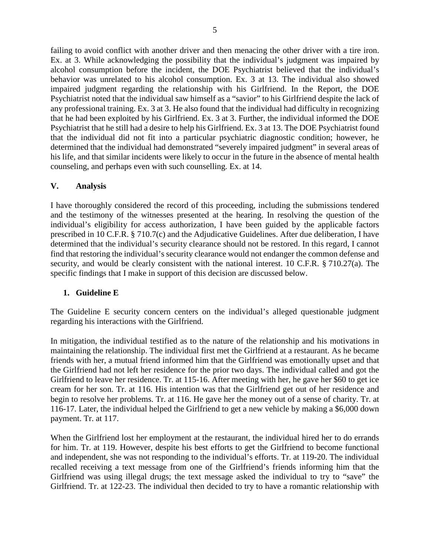failing to avoid conflict with another driver and then menacing the other driver with a tire iron. Ex. at 3. While acknowledging the possibility that the individual's judgment was impaired by alcohol consumption before the incident, the DOE Psychiatrist believed that the individual's behavior was unrelated to his alcohol consumption. Ex. 3 at 13. The individual also showed impaired judgment regarding the relationship with his Girlfriend. In the Report, the DOE Psychiatrist noted that the individual saw himself as a "savior" to his Girlfriend despite the lack of any professional training. Ex. 3 at 3. He also found that the individual had difficulty in recognizing that he had been exploited by his Girlfriend. Ex. 3 at 3. Further, the individual informed the DOE Psychiatrist that he still had a desire to help his Girlfriend. Ex. 3 at 13. The DOE Psychiatrist found that the individual did not fit into a particular psychiatric diagnostic condition; however, he determined that the individual had demonstrated "severely impaired judgment" in several areas of his life, and that similar incidents were likely to occur in the future in the absence of mental health counseling, and perhaps even with such counselling. Ex. at 14.

### **V. Analysis**

I have thoroughly considered the record of this proceeding, including the submissions tendered and the testimony of the witnesses presented at the hearing. In resolving the question of the individual's eligibility for access authorization, I have been guided by the applicable factors prescribed in 10 C.F.R. § 710.7(c) and the Adjudicative Guidelines. After due deliberation, I have determined that the individual's security clearance should not be restored. In this regard, I cannot find that restoring the individual's security clearance would not endanger the common defense and security, and would be clearly consistent with the national interest. 10 C.F.R. § 710.27(a). The specific findings that I make in support of this decision are discussed below.

#### **1. Guideline E**

The Guideline E security concern centers on the individual's alleged questionable judgment regarding his interactions with the Girlfriend.

In mitigation, the individual testified as to the nature of the relationship and his motivations in maintaining the relationship. The individual first met the Girlfriend at a restaurant. As he became friends with her, a mutual friend informed him that the Girlfriend was emotionally upset and that the Girlfriend had not left her residence for the prior two days. The individual called and got the Girlfriend to leave her residence. Tr. at 115-16. After meeting with her, he gave her \$60 to get ice cream for her son. Tr. at 116. His intention was that the Girlfriend get out of her residence and begin to resolve her problems. Tr. at 116. He gave her the money out of a sense of charity. Tr. at 116-17. Later, the individual helped the Girlfriend to get a new vehicle by making a \$6,000 down payment. Tr. at 117.

When the Girlfriend lost her employment at the restaurant, the individual hired her to do errands for him. Tr. at 119. However, despite his best efforts to get the Girlfriend to become functional and independent, she was not responding to the individual's efforts. Tr. at 119-20. The individual recalled receiving a text message from one of the Girlfriend's friends informing him that the Girlfriend was using illegal drugs; the text message asked the individual to try to "save" the Girlfriend. Tr. at 122-23. The individual then decided to try to have a romantic relationship with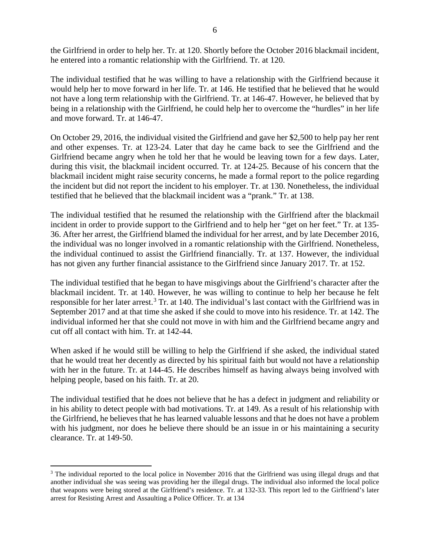the Girlfriend in order to help her. Tr. at 120. Shortly before the October 2016 blackmail incident, he entered into a romantic relationship with the Girlfriend. Tr. at 120.

The individual testified that he was willing to have a relationship with the Girlfriend because it would help her to move forward in her life. Tr. at 146. He testified that he believed that he would not have a long term relationship with the Girlfriend. Tr. at 146-47. However, he believed that by being in a relationship with the Girlfriend, he could help her to overcome the "hurdles" in her life and move forward. Tr. at 146-47.

On October 29, 2016, the individual visited the Girlfriend and gave her \$2,500 to help pay her rent and other expenses. Tr. at 123-24. Later that day he came back to see the Girlfriend and the Girlfriend became angry when he told her that he would be leaving town for a few days. Later, during this visit, the blackmail incident occurred. Tr. at 124-25. Because of his concern that the blackmail incident might raise security concerns, he made a formal report to the police regarding the incident but did not report the incident to his employer. Tr. at 130. Nonetheless, the individual testified that he believed that the blackmail incident was a "prank." Tr. at 138.

The individual testified that he resumed the relationship with the Girlfriend after the blackmail incident in order to provide support to the Girlfriend and to help her "get on her feet." Tr. at 135- 36. After her arrest, the Girlfriend blamed the individual for her arrest, and by late December 2016, the individual was no longer involved in a romantic relationship with the Girlfriend. Nonetheless, the individual continued to assist the Girlfriend financially. Tr. at 137. However, the individual has not given any further financial assistance to the Girlfriend since January 2017. Tr. at 152.

The individual testified that he began to have misgivings about the Girlfriend's character after the blackmail incident. Tr. at 140. However, he was willing to continue to help her because he felt responsible for her later arrest.<sup>[3](#page-5-0)</sup> Tr. at 140. The individual's last contact with the Girlfriend was in September 2017 and at that time she asked if she could to move into his residence. Tr. at 142. The individual informed her that she could not move in with him and the Girlfriend became angry and cut off all contact with him. Tr. at 142-44.

When asked if he would still be willing to help the Girlfriend if she asked, the individual stated that he would treat her decently as directed by his spiritual faith but would not have a relationship with her in the future. Tr. at 144-45. He describes himself as having always being involved with helping people, based on his faith. Tr. at 20.

The individual testified that he does not believe that he has a defect in judgment and reliability or in his ability to detect people with bad motivations. Tr. at 149. As a result of his relationship with the Girlfriend, he believes that he has learned valuable lessons and that he does not have a problem with his judgment, nor does he believe there should be an issue in or his maintaining a security clearance. Tr. at 149-50.

<span id="page-5-0"></span><sup>&</sup>lt;sup>3</sup> The individual reported to the local police in November 2016 that the Girlfriend was using illegal drugs and that another individual she was seeing was providing her the illegal drugs. The individual also informed the local police that weapons were being stored at the Girlfriend's residence. Tr. at 132-33. This report led to the Girlfriend's later arrest for Resisting Arrest and Assaulting a Police Officer. Tr. at 134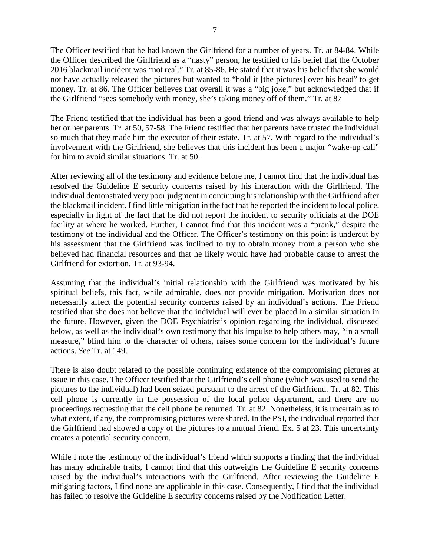The Officer testified that he had known the Girlfriend for a number of years. Tr. at 84-84. While the Officer described the Girlfriend as a "nasty" person, he testified to his belief that the October 2016 blackmail incident was "not real." Tr. at 85-86. He stated that it was his belief that she would not have actually released the pictures but wanted to "hold it [the pictures] over his head" to get money. Tr. at 86. The Officer believes that overall it was a "big joke," but acknowledged that if the Girlfriend "sees somebody with money, she's taking money off of them." Tr. at 87

The Friend testified that the individual has been a good friend and was always available to help her or her parents. Tr. at 50, 57-58. The Friend testified that her parents have trusted the individual so much that they made him the executor of their estate. Tr. at 57. With regard to the individual's involvement with the Girlfriend, she believes that this incident has been a major "wake-up call" for him to avoid similar situations. Tr. at 50.

After reviewing all of the testimony and evidence before me, I cannot find that the individual has resolved the Guideline E security concerns raised by his interaction with the Girlfriend. The individual demonstrated very poor judgment in continuing his relationship with the Girlfriend after the blackmail incident. I find little mitigation in the fact that he reported the incident to local police, especially in light of the fact that he did not report the incident to security officials at the DOE facility at where he worked. Further, I cannot find that this incident was a "prank," despite the testimony of the individual and the Officer. The Officer's testimony on this point is undercut by his assessment that the Girlfriend was inclined to try to obtain money from a person who she believed had financial resources and that he likely would have had probable cause to arrest the Girlfriend for extortion. Tr. at 93-94.

Assuming that the individual's initial relationship with the Girlfriend was motivated by his spiritual beliefs, this fact, while admirable, does not provide mitigation. Motivation does not necessarily affect the potential security concerns raised by an individual's actions. The Friend testified that she does not believe that the individual will ever be placed in a similar situation in the future. However, given the DOE Psychiatrist's opinion regarding the individual, discussed below, as well as the individual's own testimony that his impulse to help others may, "in a small measure," blind him to the character of others, raises some concern for the individual's future actions. *See* Tr. at 149.

There is also doubt related to the possible continuing existence of the compromising pictures at issue in this case. The Officer testified that the Girlfriend's cell phone (which was used to send the pictures to the individual) had been seized pursuant to the arrest of the Girlfriend. Tr. at 82. This cell phone is currently in the possession of the local police department, and there are no proceedings requesting that the cell phone be returned. Tr. at 82. Nonetheless, it is uncertain as to what extent, if any, the compromising pictures were shared. In the PSI, the individual reported that the Girlfriend had showed a copy of the pictures to a mutual friend. Ex. 5 at 23. This uncertainty creates a potential security concern.

While I note the testimony of the individual's friend which supports a finding that the individual has many admirable traits, I cannot find that this outweighs the Guideline E security concerns raised by the individual's interactions with the Girlfriend. After reviewing the Guideline E mitigating factors, I find none are applicable in this case. Consequently, I find that the individual has failed to resolve the Guideline E security concerns raised by the Notification Letter.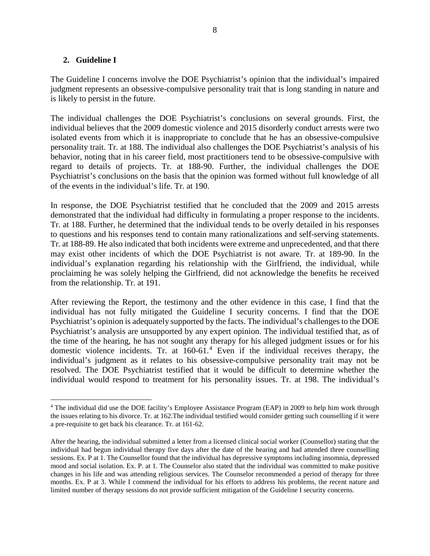#### **2. Guideline I**

The Guideline I concerns involve the DOE Psychiatrist's opinion that the individual's impaired judgment represents an obsessive-compulsive personality trait that is long standing in nature and is likely to persist in the future.

The individual challenges the DOE Psychiatrist's conclusions on several grounds. First, the individual believes that the 2009 domestic violence and 2015 disorderly conduct arrests were two isolated events from which it is inappropriate to conclude that he has an obsessive-compulsive personality trait. Tr. at 188. The individual also challenges the DOE Psychiatrist's analysis of his behavior, noting that in his career field, most practitioners tend to be obsessive-compulsive with regard to details of projects. Tr. at 188-90. Further, the individual challenges the DOE Psychiatrist's conclusions on the basis that the opinion was formed without full knowledge of all of the events in the individual's life. Tr. at 190.

In response, the DOE Psychiatrist testified that he concluded that the 2009 and 2015 arrests demonstrated that the individual had difficulty in formulating a proper response to the incidents. Tr. at 188. Further, he determined that the individual tends to be overly detailed in his responses to questions and his responses tend to contain many rationalizations and self-serving statements. Tr. at 188-89. He also indicated that both incidents were extreme and unprecedented, and that there may exist other incidents of which the DOE Psychiatrist is not aware. Tr. at 189-90. In the individual's explanation regarding his relationship with the Girlfriend, the individual, while proclaiming he was solely helping the Girlfriend, did not acknowledge the benefits he received from the relationship. Tr. at 191.

After reviewing the Report, the testimony and the other evidence in this case, I find that the individual has not fully mitigated the Guideline I security concerns. I find that the DOE Psychiatrist's opinion is adequately supported by the facts. The individual's challenges to the DOE Psychiatrist's analysis are unsupported by any expert opinion. The individual testified that, as of the time of the hearing, he has not sought any therapy for his alleged judgment issues or for his domestic violence incidents. Tr. at 160-61.[4](#page-7-0) Even if the individual receives therapy, the individual's judgment as it relates to his obsessive-compulsive personality trait may not be resolved. The DOE Psychiatrist testified that it would be difficult to determine whether the individual would respond to treatment for his personality issues. Tr. at 198. The individual's

<span id="page-7-0"></span><sup>&</sup>lt;sup>4</sup> The individual did use the DOE facility's Employee Assistance Program (EAP) in 2009 to help him work through the issues relating to his divorce. Tr. at 162.The individual testified would consider getting such counselling if it were a pre-requisite to get back his clearance. Tr. at 161-62.

After the hearing, the individual submitted a letter from a licensed clinical social worker (Counsellor) stating that the individual had begun individual therapy five days after the date of the hearing and had attended three counselling sessions. Ex. P at 1. The Counsellor found that the individual has depressive symptoms including insomnia, depressed mood and social isolation. Ex. P. at 1. The Counselor also stated that the individual was committed to make positive changes in his life and was attending religious services. The Counselor recommended a period of therapy for three months. Ex. P at 3. While I commend the individual for his efforts to address his problems, the recent nature and limited number of therapy sessions do not provide sufficient mitigation of the Guideline I security concerns.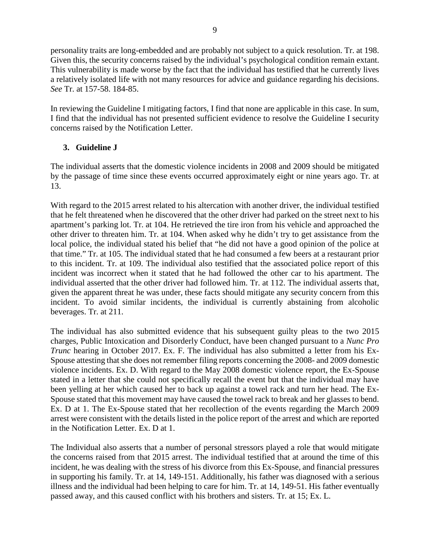personality traits are long-embedded and are probably not subject to a quick resolution. Tr. at 198. Given this, the security concerns raised by the individual's psychological condition remain extant. This vulnerability is made worse by the fact that the individual has testified that he currently lives a relatively isolated life with not many resources for advice and guidance regarding his decisions. *See* Tr. at 157-58. 184-85.

In reviewing the Guideline I mitigating factors, I find that none are applicable in this case. In sum, I find that the individual has not presented sufficient evidence to resolve the Guideline I security concerns raised by the Notification Letter.

# **3. Guideline J**

The individual asserts that the domestic violence incidents in 2008 and 2009 should be mitigated by the passage of time since these events occurred approximately eight or nine years ago. Tr. at 13.

With regard to the 2015 arrest related to his altercation with another driver, the individual testified that he felt threatened when he discovered that the other driver had parked on the street next to his apartment's parking lot. Tr. at 104. He retrieved the tire iron from his vehicle and approached the other driver to threaten him. Tr. at 104. When asked why he didn't try to get assistance from the local police, the individual stated his belief that "he did not have a good opinion of the police at that time." Tr. at 105. The individual stated that he had consumed a few beers at a restaurant prior to this incident. Tr. at 109. The individual also testified that the associated police report of this incident was incorrect when it stated that he had followed the other car to his apartment. The individual asserted that the other driver had followed him. Tr. at 112. The individual asserts that, given the apparent threat he was under, these facts should mitigate any security concern from this incident. To avoid similar incidents, the individual is currently abstaining from alcoholic beverages. Tr. at 211.

The individual has also submitted evidence that his subsequent guilty pleas to the two 2015 charges, Public Intoxication and Disorderly Conduct, have been changed pursuant to a *Nunc Pro Trunc* hearing in October 2017. Ex. F. The individual has also submitted a letter from his Ex-Spouse attesting that she does not remember filing reports concerning the 2008- and 2009 domestic violence incidents. Ex. D. With regard to the May 2008 domestic violence report, the Ex-Spouse stated in a letter that she could not specifically recall the event but that the individual may have been yelling at her which caused her to back up against a towel rack and turn her head. The Ex-Spouse stated that this movement may have caused the towel rack to break and her glasses to bend. Ex. D at 1. The Ex-Spouse stated that her recollection of the events regarding the March 2009 arrest were consistent with the details listed in the police report of the arrest and which are reported in the Notification Letter. Ex. D at 1.

The Individual also asserts that a number of personal stressors played a role that would mitigate the concerns raised from that 2015 arrest. The individual testified that at around the time of this incident, he was dealing with the stress of his divorce from this Ex-Spouse, and financial pressures in supporting his family. Tr. at 14, 149-151. Additionally, his father was diagnosed with a serious illness and the individual had been helping to care for him. Tr. at 14, 149-51. His father eventually passed away, and this caused conflict with his brothers and sisters. Tr. at 15; Ex. L.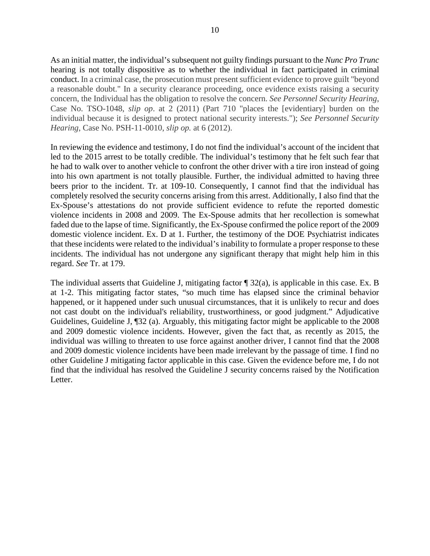As an initial matter, the individual's subsequent not guilty findings pursuant to the *Nunc Pro Trunc* hearing is not totally dispositive as to whether the individual in fact participated in criminal conduct. In a criminal case, the prosecution must present sufficient evidence to prove guilt "beyond a reasonable doubt." In a security clearance proceeding, once evidence exists raising a security concern, the Individual has the obligation to resolve the concern. *See Personnel Security Hearing*, Case No. TSO-1048, *slip op*. at 2 (2011) (Part 710 "places the [evidentiary] burden on the individual because it is designed to protect national security interests."); *See Personnel Security Hearing*, Case No. PSH-11-0010, *slip op.* at 6 (2012).

In reviewing the evidence and testimony, I do not find the individual's account of the incident that led to the 2015 arrest to be totally credible. The individual's testimony that he felt such fear that he had to walk over to another vehicle to confront the other driver with a tire iron instead of going into his own apartment is not totally plausible. Further, the individual admitted to having three beers prior to the incident. Tr. at 109-10. Consequently, I cannot find that the individual has completely resolved the security concerns arising from this arrest. Additionally, I also find that the Ex-Spouse's attestations do not provide sufficient evidence to refute the reported domestic violence incidents in 2008 and 2009. The Ex-Spouse admits that her recollection is somewhat faded due to the lapse of time. Significantly, the Ex-Spouse confirmed the police report of the 2009 domestic violence incident. Ex. D at 1. Further, the testimony of the DOE Psychiatrist indicates that these incidents were related to the individual's inability to formulate a proper response to these incidents. The individual has not undergone any significant therapy that might help him in this regard. *See* Tr. at 179.

The individual asserts that Guideline J, mitigating factor ¶ 32(a), is applicable in this case. Ex. B at 1-2. This mitigating factor states, "so much time has elapsed since the criminal behavior happened, or it happened under such unusual circumstances, that it is unlikely to recur and does not cast doubt on the individual's reliability, trustworthiness, or good judgment." Adjudicative Guidelines, Guideline J, ¶32 (a). Arguably, this mitigating factor might be applicable to the 2008 and 2009 domestic violence incidents. However, given the fact that, as recently as 2015, the individual was willing to threaten to use force against another driver, I cannot find that the 2008 and 2009 domestic violence incidents have been made irrelevant by the passage of time. I find no other Guideline J mitigating factor applicable in this case. Given the evidence before me, I do not find that the individual has resolved the Guideline J security concerns raised by the Notification Letter.